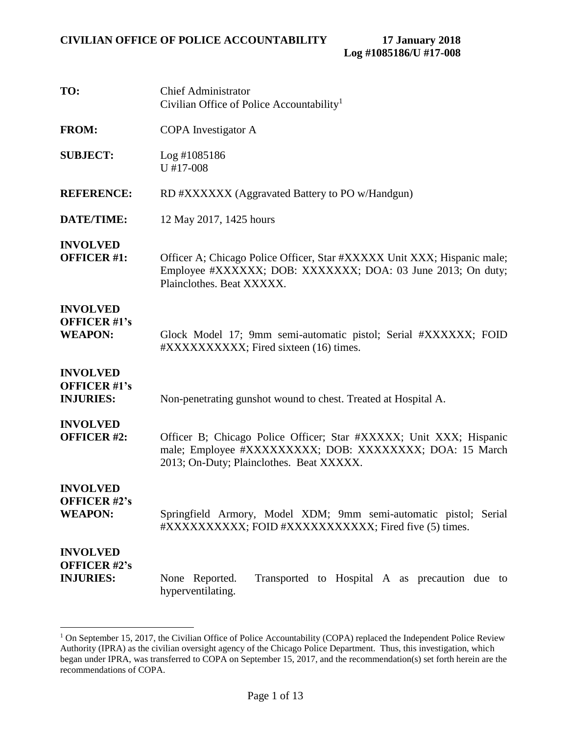| TO:                                                        | <b>Chief Administrator</b><br>Civilian Office of Police Accountability <sup>1</sup>                                                                                         |
|------------------------------------------------------------|-----------------------------------------------------------------------------------------------------------------------------------------------------------------------------|
| <b>FROM:</b>                                               | COPA Investigator A                                                                                                                                                         |
| <b>SUBJECT:</b>                                            | Log #1085186<br>$U$ #17-008                                                                                                                                                 |
| <b>REFERENCE:</b>                                          | RD #XXXXXX (Aggravated Battery to PO w/Handgun)                                                                                                                             |
| <b>DATE/TIME:</b>                                          | 12 May 2017, 1425 hours                                                                                                                                                     |
| <b>INVOLVED</b><br><b>OFFICER #1:</b>                      | Officer A; Chicago Police Officer, Star #XXXXX Unit XXX; Hispanic male;<br>Employee #XXXXXX; DOB: XXXXXXX; DOA: 03 June 2013; On duty;<br>Plainclothes. Beat XXXXX.         |
| <b>INVOLVED</b><br><b>OFFICER #1's</b><br><b>WEAPON:</b>   | Glock Model 17; 9mm semi-automatic pistol; Serial #XXXXXX; FOID<br>#XXXXXXXXXXX; Fired sixteen (16) times.                                                                  |
| <b>INVOLVED</b><br><b>OFFICER #1's</b><br><b>INJURIES:</b> | Non-penetrating gunshot wound to chest. Treated at Hospital A.                                                                                                              |
| <b>INVOLVED</b><br><b>OFFICER #2:</b>                      | Officer B; Chicago Police Officer; Star #XXXXX; Unit XXX; Hispanic<br>male; Employee #XXXXXXXXXX; DOB: XXXXXXXXX; DOA: 15 March<br>2013; On-Duty; Plainclothes. Beat XXXXX. |
| <b>INVOLVED</b><br><b>OFFICER #2's</b><br><b>WEAPON:</b>   | Springfield Armory, Model XDM; 9mm semi-automatic pistol; Serial<br>#XXXXXXXXXX; FOID #XXXXXXXXXXX; Fired five (5) times.                                                   |
| <b>INVOLVED</b><br><b>OFFICER #2's</b><br><b>INJURIES:</b> | None Reported.<br>Transported to Hospital A as precaution due to<br>hyperventilating.                                                                                       |

<sup>&</sup>lt;sup>1</sup> On September 15, 2017, the Civilian Office of Police Accountability (COPA) replaced the Independent Police Review Authority (IPRA) as the civilian oversight agency of the Chicago Police Department. Thus, this investigation, which began under IPRA, was transferred to COPA on September 15, 2017, and the recommendation(s) set forth herein are the recommendations of COPA.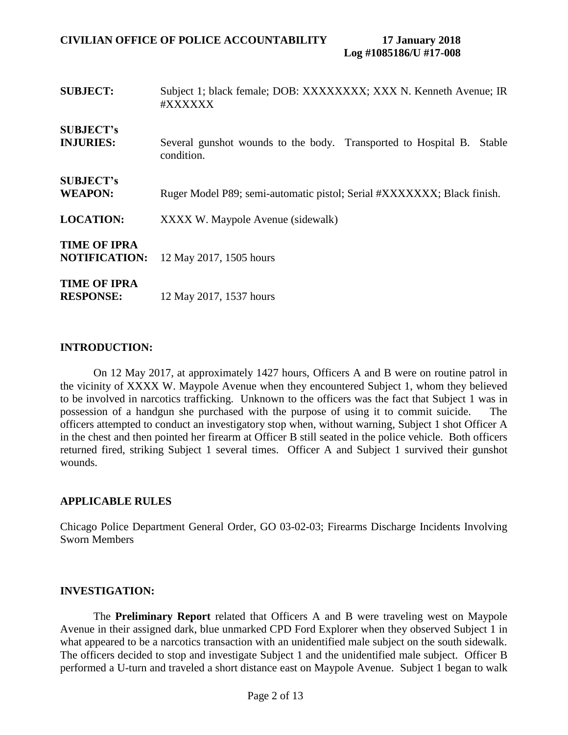| <b>SUBJECT:</b>                             | Subject 1; black female; DOB: XXXXXXXX; XXX N. Kenneth Avenue; IR<br>#XXXXXX           |
|---------------------------------------------|----------------------------------------------------------------------------------------|
| <b>SUBJECT's</b><br><b>INJURIES:</b>        | Several gunshot wounds to the body. Transported to Hospital B.<br>Stable<br>condition. |
| <b>SUBJECT's</b><br><b>WEAPON:</b>          | Ruger Model P89; semi-automatic pistol; Serial #XXXXXXX; Black finish.                 |
| <b>LOCATION:</b>                            | XXXX W. Maypole Avenue (sidewalk)                                                      |
| <b>TIME OF IPRA</b><br><b>NOTIFICATION:</b> | 12 May 2017, 1505 hours                                                                |
| <b>TIME OF IPRA</b><br><b>RESPONSE:</b>     | 12 May 2017, 1537 hours                                                                |

### **INTRODUCTION:**

On 12 May 2017, at approximately 1427 hours, Officers A and B were on routine patrol in the vicinity of XXXX W. Maypole Avenue when they encountered Subject 1, whom they believed to be involved in narcotics trafficking. Unknown to the officers was the fact that Subject 1 was in possession of a handgun she purchased with the purpose of using it to commit suicide. The officers attempted to conduct an investigatory stop when, without warning, Subject 1 shot Officer A in the chest and then pointed her firearm at Officer B still seated in the police vehicle. Both officers returned fired, striking Subject 1 several times. Officer A and Subject 1 survived their gunshot wounds.

### **APPLICABLE RULES**

Chicago Police Department General Order, GO 03-02-03; Firearms Discharge Incidents Involving Sworn Members

### **INVESTIGATION:**

The **Preliminary Report** related that Officers A and B were traveling west on Maypole Avenue in their assigned dark, blue unmarked CPD Ford Explorer when they observed Subject 1 in what appeared to be a narcotics transaction with an unidentified male subject on the south sidewalk. The officers decided to stop and investigate Subject 1 and the unidentified male subject. Officer B performed a U-turn and traveled a short distance east on Maypole Avenue. Subject 1 began to walk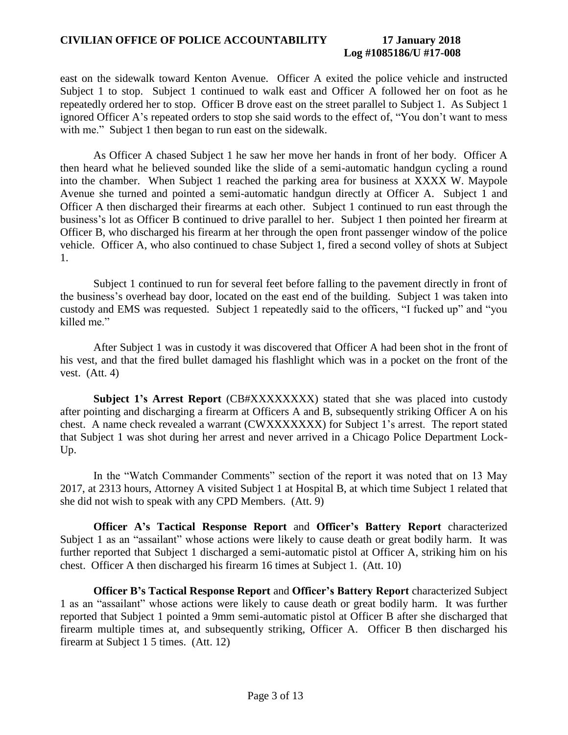### **CIVILIAN OFFICE OF POLICE ACCOUNTABILITY 17 January 2018**

### **Log #1085186/U #17-008**

east on the sidewalk toward Kenton Avenue. Officer A exited the police vehicle and instructed Subject 1 to stop. Subject 1 continued to walk east and Officer A followed her on foot as he repeatedly ordered her to stop. Officer B drove east on the street parallel to Subject 1. As Subject 1 ignored Officer A's repeated orders to stop she said words to the effect of, "You don't want to mess with me." Subject 1 then began to run east on the sidewalk.

As Officer A chased Subject 1 he saw her move her hands in front of her body. Officer A then heard what he believed sounded like the slide of a semi-automatic handgun cycling a round into the chamber. When Subject 1 reached the parking area for business at XXXX W. Maypole Avenue she turned and pointed a semi-automatic handgun directly at Officer A. Subject 1 and Officer A then discharged their firearms at each other. Subject 1 continued to run east through the business's lot as Officer B continued to drive parallel to her. Subject 1 then pointed her firearm at Officer B, who discharged his firearm at her through the open front passenger window of the police vehicle. Officer A, who also continued to chase Subject 1, fired a second volley of shots at Subject 1.

Subject 1 continued to run for several feet before falling to the pavement directly in front of the business's overhead bay door, located on the east end of the building. Subject 1 was taken into custody and EMS was requested. Subject 1 repeatedly said to the officers, "I fucked up" and "you killed me."

After Subject 1 was in custody it was discovered that Officer A had been shot in the front of his vest, and that the fired bullet damaged his flashlight which was in a pocket on the front of the vest. (Att. 4)

**Subject 1's Arrest Report** (CB#XXXXXXXX) stated that she was placed into custody after pointing and discharging a firearm at Officers A and B, subsequently striking Officer A on his chest. A name check revealed a warrant (CWXXXXXXX) for Subject 1's arrest. The report stated that Subject 1 was shot during her arrest and never arrived in a Chicago Police Department Lock-Up.

In the "Watch Commander Comments" section of the report it was noted that on 13 May 2017, at 2313 hours, Attorney A visited Subject 1 at Hospital B, at which time Subject 1 related that she did not wish to speak with any CPD Members. (Att. 9)

**Officer A's Tactical Response Report** and **Officer's Battery Report** characterized Subject 1 as an "assailant" whose actions were likely to cause death or great bodily harm. It was further reported that Subject 1 discharged a semi-automatic pistol at Officer A, striking him on his chest. Officer A then discharged his firearm 16 times at Subject 1. (Att. 10)

**Officer B's Tactical Response Report** and **Officer's Battery Report** characterized Subject 1 as an "assailant" whose actions were likely to cause death or great bodily harm. It was further reported that Subject 1 pointed a 9mm semi-automatic pistol at Officer B after she discharged that firearm multiple times at, and subsequently striking, Officer A. Officer B then discharged his firearm at Subject 1 5 times. (Att. 12)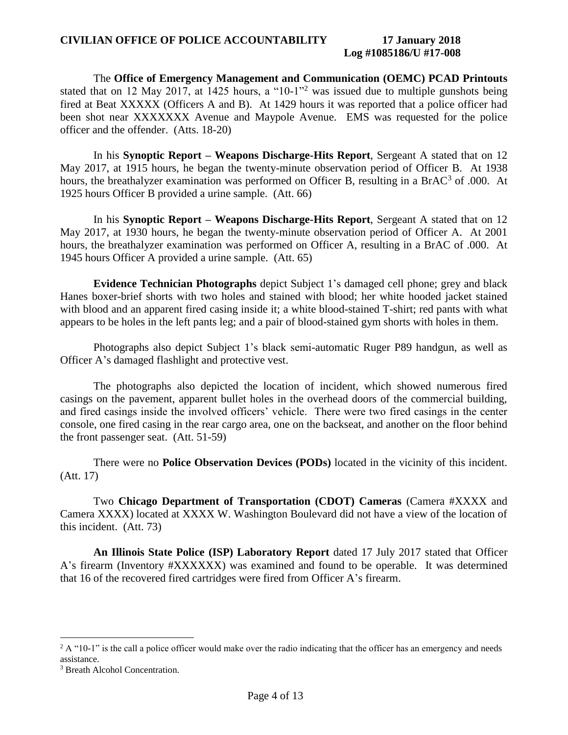### **CIVILIAN OFFICE OF POLICE ACCOUNTABILITY 17 January 2018**

## **Log #1085186/U #17-008**

The **Office of Emergency Management and Communication (OEMC) PCAD Printouts** stated that on 12 May 2017, at 1425 hours, a "10-1"<sup>2</sup> was issued due to multiple gunshots being fired at Beat XXXXX (Officers A and B). At 1429 hours it was reported that a police officer had been shot near XXXXXXX Avenue and Maypole Avenue. EMS was requested for the police officer and the offender. (Atts. 18-20)

In his **Synoptic Report – Weapons Discharge-Hits Report**, Sergeant A stated that on 12 May 2017, at 1915 hours, he began the twenty-minute observation period of Officer B. At 1938 hours, the breathalyzer examination was performed on Officer B, resulting in a BrAC<sup>3</sup> of .000. At 1925 hours Officer B provided a urine sample. (Att. 66)

In his **Synoptic Report – Weapons Discharge-Hits Report**, Sergeant A stated that on 12 May 2017, at 1930 hours, he began the twenty-minute observation period of Officer A. At 2001 hours, the breathalyzer examination was performed on Officer A, resulting in a BrAC of .000. At 1945 hours Officer A provided a urine sample. (Att. 65)

**Evidence Technician Photographs** depict Subject 1's damaged cell phone; grey and black Hanes boxer-brief shorts with two holes and stained with blood; her white hooded jacket stained with blood and an apparent fired casing inside it; a white blood-stained T-shirt; red pants with what appears to be holes in the left pants leg; and a pair of blood-stained gym shorts with holes in them.

Photographs also depict Subject 1's black semi-automatic Ruger P89 handgun, as well as Officer A's damaged flashlight and protective vest.

The photographs also depicted the location of incident, which showed numerous fired casings on the pavement, apparent bullet holes in the overhead doors of the commercial building, and fired casings inside the involved officers' vehicle. There were two fired casings in the center console, one fired casing in the rear cargo area, one on the backseat, and another on the floor behind the front passenger seat. (Att. 51-59)

There were no **Police Observation Devices (PODs)** located in the vicinity of this incident. (Att. 17)

Two **Chicago Department of Transportation (CDOT) Cameras** (Camera #XXXX and Camera XXXX) located at XXXX W. Washington Boulevard did not have a view of the location of this incident. (Att. 73)

**An Illinois State Police (ISP) Laboratory Report** dated 17 July 2017 stated that Officer A's firearm (Inventory #XXXXXX) was examined and found to be operable. It was determined that 16 of the recovered fired cartridges were fired from Officer A's firearm.

<sup>&</sup>lt;sup>2</sup> A "10-1" is the call a police officer would make over the radio indicating that the officer has an emergency and needs assistance.

<sup>&</sup>lt;sup>3</sup> Breath Alcohol Concentration.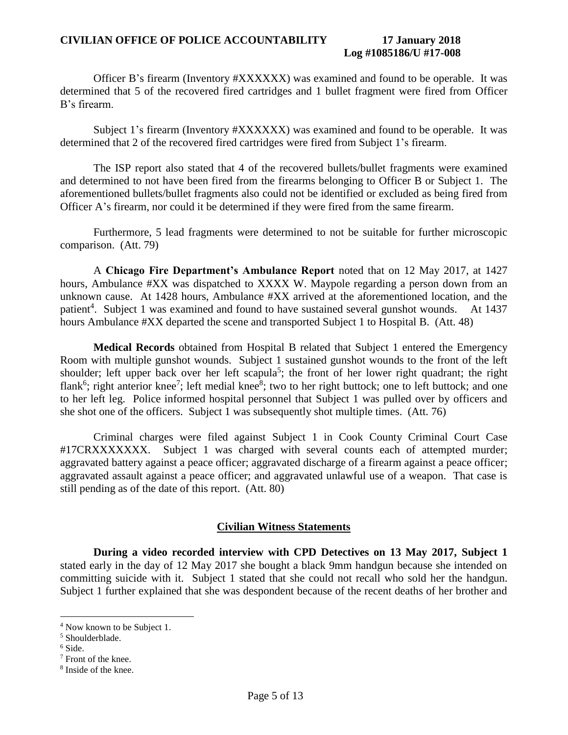### **CIVILIAN OFFICE OF POLICE ACCOUNTABILITY 17 January 2018 Log #1085186/U #17-008**

Officer B's firearm (Inventory #XXXXXX) was examined and found to be operable. It was determined that 5 of the recovered fired cartridges and 1 bullet fragment were fired from Officer B's firearm.

Subject 1's firearm (Inventory #XXXXXX) was examined and found to be operable. It was determined that 2 of the recovered fired cartridges were fired from Subject 1's firearm.

The ISP report also stated that 4 of the recovered bullets/bullet fragments were examined and determined to not have been fired from the firearms belonging to Officer B or Subject 1. The aforementioned bullets/bullet fragments also could not be identified or excluded as being fired from Officer A's firearm, nor could it be determined if they were fired from the same firearm.

Furthermore, 5 lead fragments were determined to not be suitable for further microscopic comparison. (Att. 79)

A **Chicago Fire Department's Ambulance Report** noted that on 12 May 2017, at 1427 hours, Ambulance #XX was dispatched to XXXX W. Maypole regarding a person down from an unknown cause. At 1428 hours, Ambulance #XX arrived at the aforementioned location, and the patient<sup>4</sup>. Subject 1 was examined and found to have sustained several gunshot wounds. At 1437 hours Ambulance #XX departed the scene and transported Subject 1 to Hospital B. (Att. 48)

**Medical Records** obtained from Hospital B related that Subject 1 entered the Emergency Room with multiple gunshot wounds. Subject 1 sustained gunshot wounds to the front of the left shoulder; left upper back over her left scapula<sup>5</sup>; the front of her lower right quadrant; the right flank<sup>6</sup>; right anterior knee<sup>7</sup>; left medial knee<sup>8</sup>; two to her right buttock; one to left buttock; and one to her left leg. Police informed hospital personnel that Subject 1 was pulled over by officers and she shot one of the officers. Subject 1 was subsequently shot multiple times. (Att. 76)

Criminal charges were filed against Subject 1 in Cook County Criminal Court Case #17CRXXXXXXX. Subject 1 was charged with several counts each of attempted murder; aggravated battery against a peace officer; aggravated discharge of a firearm against a peace officer; aggravated assault against a peace officer; and aggravated unlawful use of a weapon. That case is still pending as of the date of this report. (Att. 80)

### **Civilian Witness Statements**

**During a video recorded interview with CPD Detectives on 13 May 2017, Subject 1** stated early in the day of 12 May 2017 she bought a black 9mm handgun because she intended on committing suicide with it. Subject 1 stated that she could not recall who sold her the handgun. Subject 1 further explained that she was despondent because of the recent deaths of her brother and

<sup>4</sup> Now known to be Subject 1.

<sup>5</sup> Shoulderblade.

<sup>6</sup> Side.

<sup>7</sup> Front of the knee.

<sup>8</sup> Inside of the knee.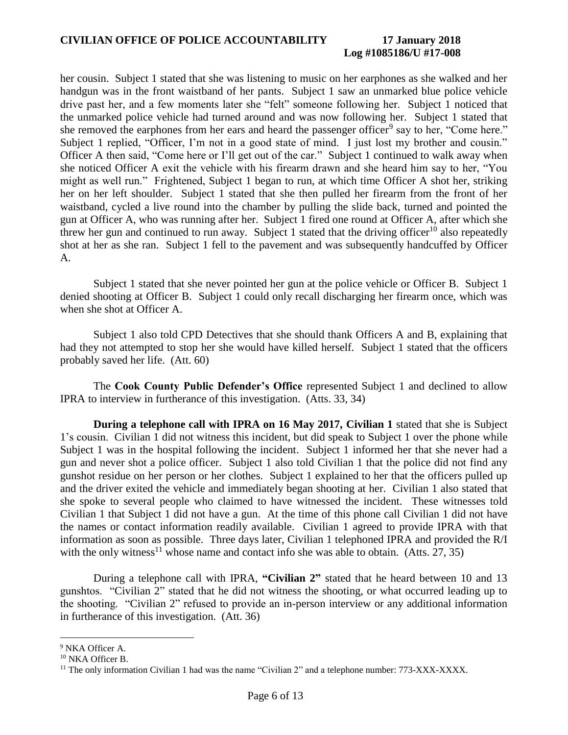# **Log #1085186/U #17-008**

her cousin. Subject 1 stated that she was listening to music on her earphones as she walked and her handgun was in the front waistband of her pants. Subject 1 saw an unmarked blue police vehicle drive past her, and a few moments later she "felt" someone following her. Subject 1 noticed that the unmarked police vehicle had turned around and was now following her. Subject 1 stated that she removed the earphones from her ears and heard the passenger officer<sup>9</sup> say to her, "Come here." Subject 1 replied, "Officer, I'm not in a good state of mind. I just lost my brother and cousin." Officer A then said, "Come here or I'll get out of the car." Subject 1 continued to walk away when she noticed Officer A exit the vehicle with his firearm drawn and she heard him say to her, "You might as well run." Frightened, Subject 1 began to run, at which time Officer A shot her, striking her on her left shoulder. Subject 1 stated that she then pulled her firearm from the front of her waistband, cycled a live round into the chamber by pulling the slide back, turned and pointed the gun at Officer A, who was running after her. Subject 1 fired one round at Officer A, after which she threw her gun and continued to run away. Subject 1 stated that the driving officer<sup>10</sup> also repeatedly shot at her as she ran. Subject 1 fell to the pavement and was subsequently handcuffed by Officer A.

Subject 1 stated that she never pointed her gun at the police vehicle or Officer B. Subject 1 denied shooting at Officer B. Subject 1 could only recall discharging her firearm once, which was when she shot at Officer A.

Subject 1 also told CPD Detectives that she should thank Officers A and B, explaining that had they not attempted to stop her she would have killed herself. Subject 1 stated that the officers probably saved her life. (Att. 60)

The **Cook County Public Defender's Office** represented Subject 1 and declined to allow IPRA to interview in furtherance of this investigation. (Atts. 33, 34)

 **During a telephone call with IPRA on 16 May 2017, Civilian 1** stated that she is Subject 1's cousin. Civilian 1 did not witness this incident, but did speak to Subject 1 over the phone while Subject 1 was in the hospital following the incident. Subject 1 informed her that she never had a gun and never shot a police officer. Subject 1 also told Civilian 1 that the police did not find any gunshot residue on her person or her clothes. Subject 1 explained to her that the officers pulled up and the driver exited the vehicle and immediately began shooting at her. Civilian 1 also stated that she spoke to several people who claimed to have witnessed the incident. These witnesses told Civilian 1 that Subject 1 did not have a gun. At the time of this phone call Civilian 1 did not have the names or contact information readily available. Civilian 1 agreed to provide IPRA with that information as soon as possible. Three days later, Civilian 1 telephoned IPRA and provided the R/I with the only witness<sup>11</sup> whose name and contact info she was able to obtain. (Atts. 27, 35)

During a telephone call with IPRA, **"Civilian 2"** stated that he heard between 10 and 13 gunshtos. "Civilian 2" stated that he did not witness the shooting, or what occurred leading up to the shooting. "Civilian 2" refused to provide an in-person interview or any additional information in furtherance of this investigation. (Att. 36)

<sup>9</sup> NKA Officer A.

<sup>10</sup> NKA Officer B.

<sup>&</sup>lt;sup>11</sup> The only information Civilian 1 had was the name "Civilian 2" and a telephone number:  $773-XXX-XXXX$ .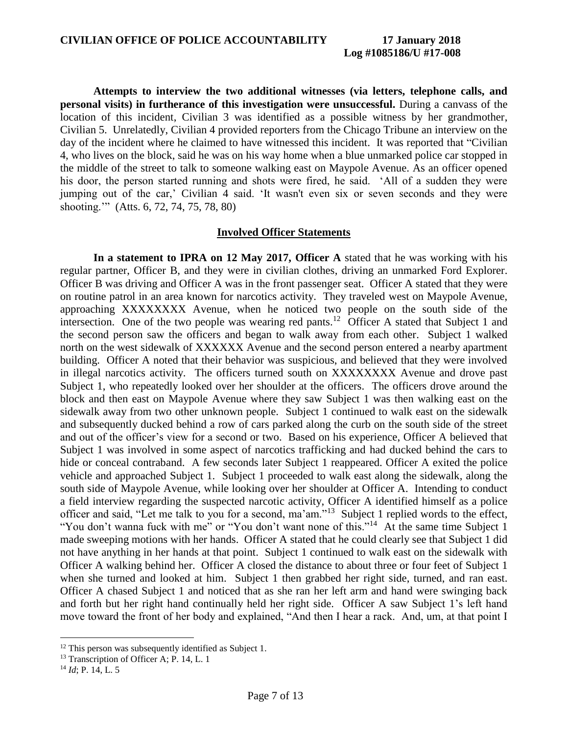**Attempts to interview the two additional witnesses (via letters, telephone calls, and personal visits) in furtherance of this investigation were unsuccessful.** During a canvass of the location of this incident, Civilian 3 was identified as a possible witness by her grandmother, Civilian 5. Unrelatedly, Civilian 4 provided reporters from the Chicago Tribune an interview on the day of the incident where he claimed to have witnessed this incident. It was reported that "Civilian 4, who lives on the block, said he was on his way home when a blue unmarked police car stopped in the middle of the street to talk to someone walking east on Maypole Avenue. As an officer opened his door, the person started running and shots were fired, he said. 'All of a sudden they were jumping out of the car,' Civilian 4 said. 'It wasn't even six or seven seconds and they were shooting.'" (Atts. 6, 72, 74, 75, 78, 80)

#### **Involved Officer Statements**

**In a statement to IPRA on 12 May 2017, Officer A** stated that he was working with his regular partner, Officer B, and they were in civilian clothes, driving an unmarked Ford Explorer. Officer B was driving and Officer A was in the front passenger seat. Officer A stated that they were on routine patrol in an area known for narcotics activity. They traveled west on Maypole Avenue, approaching XXXXXXXX Avenue, when he noticed two people on the south side of the intersection. One of the two people was wearing red pants.<sup>12</sup> Officer A stated that Subject 1 and the second person saw the officers and began to walk away from each other. Subject 1 walked north on the west sidewalk of XXXXXX Avenue and the second person entered a nearby apartment building. Officer A noted that their behavior was suspicious, and believed that they were involved in illegal narcotics activity. The officers turned south on XXXXXXXX Avenue and drove past Subject 1, who repeatedly looked over her shoulder at the officers. The officers drove around the block and then east on Maypole Avenue where they saw Subject 1 was then walking east on the sidewalk away from two other unknown people. Subject 1 continued to walk east on the sidewalk and subsequently ducked behind a row of cars parked along the curb on the south side of the street and out of the officer's view for a second or two. Based on his experience, Officer A believed that Subject 1 was involved in some aspect of narcotics trafficking and had ducked behind the cars to hide or conceal contraband. A few seconds later Subject 1 reappeared. Officer A exited the police vehicle and approached Subject 1. Subject 1 proceeded to walk east along the sidewalk, along the south side of Maypole Avenue, while looking over her shoulder at Officer A. Intending to conduct a field interview regarding the suspected narcotic activity, Officer A identified himself as a police officer and said, "Let me talk to you for a second, ma'am."<sup>13</sup> Subject 1 replied words to the effect, "You don't wanna fuck with me" or "You don't want none of this."<sup>14</sup> At the same time Subject 1 made sweeping motions with her hands. Officer A stated that he could clearly see that Subject 1 did not have anything in her hands at that point. Subject 1 continued to walk east on the sidewalk with Officer A walking behind her. Officer A closed the distance to about three or four feet of Subject 1 when she turned and looked at him. Subject 1 then grabbed her right side, turned, and ran east. Officer A chased Subject 1 and noticed that as she ran her left arm and hand were swinging back and forth but her right hand continually held her right side. Officer A saw Subject 1's left hand move toward the front of her body and explained, "And then I hear a rack. And, um, at that point I

 $12$  This person was subsequently identified as Subject 1.

<sup>&</sup>lt;sup>13</sup> Transcription of Officer A; P. 14, L. 1

<sup>14</sup> *Id*; P. 14, L. 5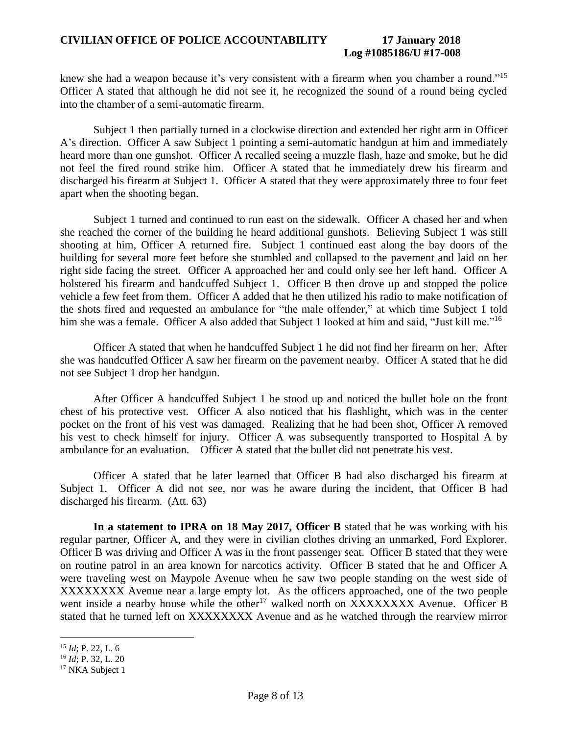### **CIVILIAN OFFICE OF POLICE ACCOUNTABILITY 17 January 2018**

### **Log #1085186/U #17-008**

knew she had a weapon because it's very consistent with a firearm when you chamber a round."<sup>15</sup> Officer A stated that although he did not see it, he recognized the sound of a round being cycled into the chamber of a semi-automatic firearm.

Subject 1 then partially turned in a clockwise direction and extended her right arm in Officer A's direction. Officer A saw Subject 1 pointing a semi-automatic handgun at him and immediately heard more than one gunshot. Officer A recalled seeing a muzzle flash, haze and smoke, but he did not feel the fired round strike him. Officer A stated that he immediately drew his firearm and discharged his firearm at Subject 1. Officer A stated that they were approximately three to four feet apart when the shooting began.

Subject 1 turned and continued to run east on the sidewalk. Officer A chased her and when she reached the corner of the building he heard additional gunshots. Believing Subject 1 was still shooting at him, Officer A returned fire. Subject 1 continued east along the bay doors of the building for several more feet before she stumbled and collapsed to the pavement and laid on her right side facing the street. Officer A approached her and could only see her left hand. Officer A holstered his firearm and handcuffed Subject 1. Officer B then drove up and stopped the police vehicle a few feet from them. Officer A added that he then utilized his radio to make notification of the shots fired and requested an ambulance for "the male offender," at which time Subject 1 told him she was a female. Officer A also added that Subject 1 looked at him and said, "Just kill me."<sup>16</sup>

Officer A stated that when he handcuffed Subject 1 he did not find her firearm on her. After she was handcuffed Officer A saw her firearm on the pavement nearby. Officer A stated that he did not see Subject 1 drop her handgun.

After Officer A handcuffed Subject 1 he stood up and noticed the bullet hole on the front chest of his protective vest. Officer A also noticed that his flashlight, which was in the center pocket on the front of his vest was damaged. Realizing that he had been shot, Officer A removed his vest to check himself for injury. Officer A was subsequently transported to Hospital A by ambulance for an evaluation. Officer A stated that the bullet did not penetrate his vest.

Officer A stated that he later learned that Officer B had also discharged his firearm at Subject 1. Officer A did not see, nor was he aware during the incident, that Officer B had discharged his firearm. (Att. 63)

**In a statement to IPRA on 18 May 2017, Officer B** stated that he was working with his regular partner, Officer A, and they were in civilian clothes driving an unmarked, Ford Explorer. Officer B was driving and Officer A was in the front passenger seat. Officer B stated that they were on routine patrol in an area known for narcotics activity. Officer B stated that he and Officer A were traveling west on Maypole Avenue when he saw two people standing on the west side of XXXXXXXX Avenue near a large empty lot. As the officers approached, one of the two people went inside a nearby house while the other<sup>17</sup> walked north on XXXXXXXX Avenue. Officer B stated that he turned left on XXXXXXXX Avenue and as he watched through the rearview mirror

<sup>15</sup> *Id*; P. 22, L. 6

<sup>16</sup> *Id*; P. 32, L. 20

<sup>&</sup>lt;sup>17</sup> NKA Subject 1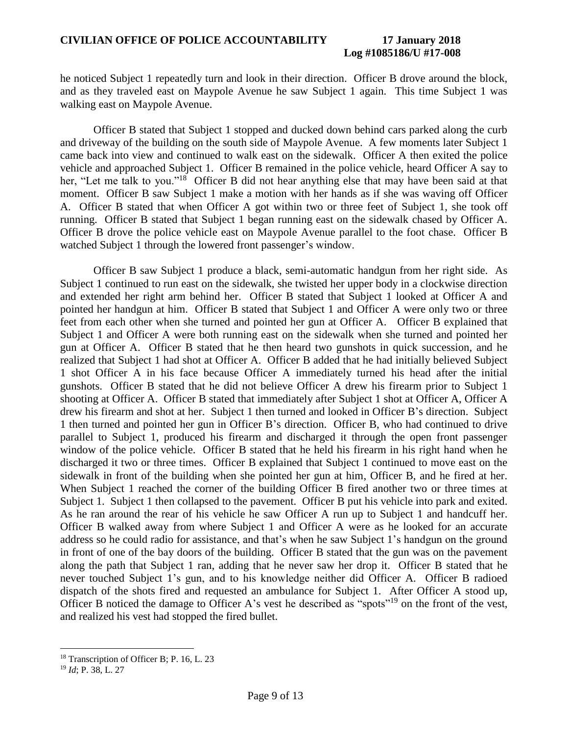# **Log #1085186/U #17-008**

he noticed Subject 1 repeatedly turn and look in their direction. Officer B drove around the block, and as they traveled east on Maypole Avenue he saw Subject 1 again. This time Subject 1 was walking east on Maypole Avenue.

Officer B stated that Subject 1 stopped and ducked down behind cars parked along the curb and driveway of the building on the south side of Maypole Avenue. A few moments later Subject 1 came back into view and continued to walk east on the sidewalk. Officer A then exited the police vehicle and approached Subject 1. Officer B remained in the police vehicle, heard Officer A say to her, "Let me talk to you."<sup>18</sup> Officer B did not hear anything else that may have been said at that moment. Officer B saw Subject 1 make a motion with her hands as if she was waving off Officer A. Officer B stated that when Officer A got within two or three feet of Subject 1, she took off running. Officer B stated that Subject 1 began running east on the sidewalk chased by Officer A. Officer B drove the police vehicle east on Maypole Avenue parallel to the foot chase. Officer B watched Subject 1 through the lowered front passenger's window.

Officer B saw Subject 1 produce a black, semi-automatic handgun from her right side. As Subject 1 continued to run east on the sidewalk, she twisted her upper body in a clockwise direction and extended her right arm behind her. Officer B stated that Subject 1 looked at Officer A and pointed her handgun at him. Officer B stated that Subject 1 and Officer A were only two or three feet from each other when she turned and pointed her gun at Officer A. Officer B explained that Subject 1 and Officer A were both running east on the sidewalk when she turned and pointed her gun at Officer A. Officer B stated that he then heard two gunshots in quick succession, and he realized that Subject 1 had shot at Officer A. Officer B added that he had initially believed Subject 1 shot Officer A in his face because Officer A immediately turned his head after the initial gunshots. Officer B stated that he did not believe Officer A drew his firearm prior to Subject 1 shooting at Officer A. Officer B stated that immediately after Subject 1 shot at Officer A, Officer A drew his firearm and shot at her. Subject 1 then turned and looked in Officer B's direction. Subject 1 then turned and pointed her gun in Officer B's direction. Officer B, who had continued to drive parallel to Subject 1, produced his firearm and discharged it through the open front passenger window of the police vehicle. Officer B stated that he held his firearm in his right hand when he discharged it two or three times. Officer B explained that Subject 1 continued to move east on the sidewalk in front of the building when she pointed her gun at him, Officer B, and he fired at her. When Subject 1 reached the corner of the building Officer B fired another two or three times at Subject 1. Subject 1 then collapsed to the pavement. Officer B put his vehicle into park and exited. As he ran around the rear of his vehicle he saw Officer A run up to Subject 1 and handcuff her. Officer B walked away from where Subject 1 and Officer A were as he looked for an accurate address so he could radio for assistance, and that's when he saw Subject 1's handgun on the ground in front of one of the bay doors of the building. Officer B stated that the gun was on the pavement along the path that Subject 1 ran, adding that he never saw her drop it. Officer B stated that he never touched Subject 1's gun, and to his knowledge neither did Officer A. Officer B radioed dispatch of the shots fired and requested an ambulance for Subject 1. After Officer A stood up, Officer B noticed the damage to Officer A's vest he described as "spots"<sup>19</sup> on the front of the vest, and realized his vest had stopped the fired bullet.

<sup>&</sup>lt;sup>18</sup> Transcription of Officer B; P. 16, L. 23

<sup>19</sup> *Id*; P. 38, L. 27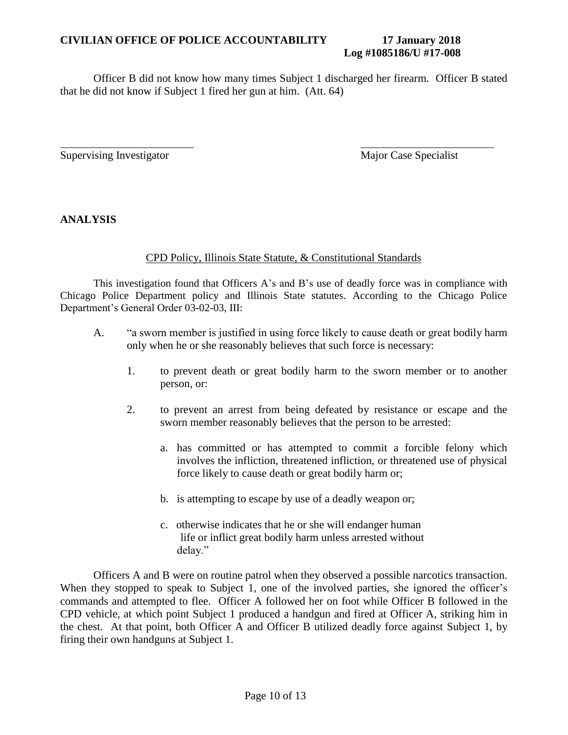#### **CIVILIAN OFFICE OF POLICE ACCOUNTABILITY 17 January 2018 Log #1085186/U #17-008**

Officer B did not know how many times Subject 1 discharged her firearm. Officer B stated that he did not know if Subject 1 fired her gun at him. (Att. 64)

Supervising Investigator Major Case Specialist

**ANALYSIS**

### CPD Policy, Illinois State Statute, & Constitutional Standards

This investigation found that Officers A's and B's use of deadly force was in compliance with Chicago Police Department policy and Illinois State statutes. According to the Chicago Police Department's General Order 03-02-03, III:

- A. "a sworn member is justified in using force likely to cause death or great bodily harm only when he or she reasonably believes that such force is necessary:
	- 1. to prevent death or great bodily harm to the sworn member or to another person, or:
	- 2. to prevent an arrest from being defeated by resistance or escape and the sworn member reasonably believes that the person to be arrested:
		- a. has committed or has attempted to commit a forcible felony which involves the infliction, threatened infliction, or threatened use of physical force likely to cause death or great bodily harm or;
		- b. is attempting to escape by use of a deadly weapon or;
		- c. otherwise indicates that he or she will endanger human life or inflict great bodily harm unless arrested without delay."

Officers A and B were on routine patrol when they observed a possible narcotics transaction. When they stopped to speak to Subject 1, one of the involved parties, she ignored the officer's commands and attempted to flee. Officer A followed her on foot while Officer B followed in the CPD vehicle, at which point Subject 1 produced a handgun and fired at Officer A, striking him in the chest. At that point, both Officer A and Officer B utilized deadly force against Subject 1, by firing their own handguns at Subject 1.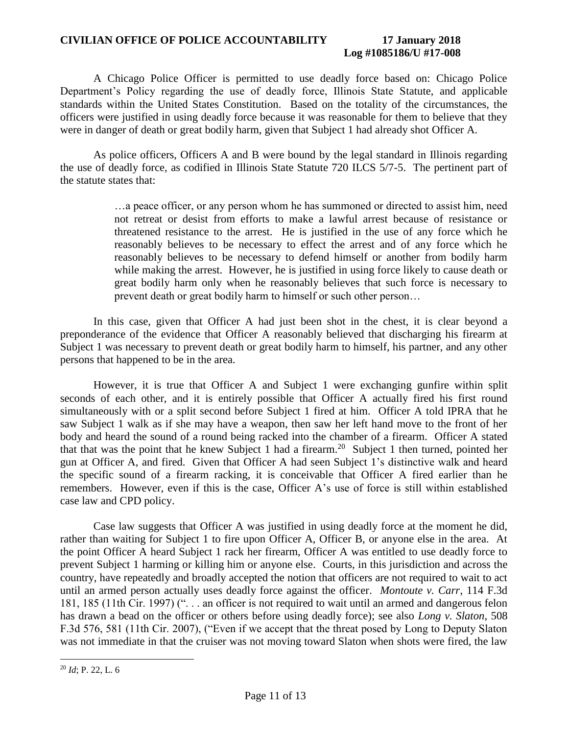#### **CIVILIAN OFFICE OF POLICE ACCOUNTABILITY 17 January 2018 Log #1085186/U #17-008**

A Chicago Police Officer is permitted to use deadly force based on: Chicago Police Department's Policy regarding the use of deadly force, Illinois State Statute, and applicable standards within the United States Constitution. Based on the totality of the circumstances, the officers were justified in using deadly force because it was reasonable for them to believe that they were in danger of death or great bodily harm, given that Subject 1 had already shot Officer A.

As police officers, Officers A and B were bound by the legal standard in Illinois regarding the use of deadly force, as codified in Illinois State Statute 720 ILCS 5/7-5. The pertinent part of the statute states that:

> …a peace officer, or any person whom he has summoned or directed to assist him, need not retreat or desist from efforts to make a lawful arrest because of resistance or threatened resistance to the arrest. He is justified in the use of any force which he reasonably believes to be necessary to effect the arrest and of any force which he reasonably believes to be necessary to defend himself or another from bodily harm while making the arrest. However, he is justified in using force likely to cause death or great bodily harm only when he reasonably believes that such force is necessary to prevent death or great bodily harm to himself or such other person…

In this case, given that Officer A had just been shot in the chest, it is clear beyond a preponderance of the evidence that Officer A reasonably believed that discharging his firearm at Subject 1 was necessary to prevent death or great bodily harm to himself, his partner, and any other persons that happened to be in the area.

However, it is true that Officer A and Subject 1 were exchanging gunfire within split seconds of each other, and it is entirely possible that Officer A actually fired his first round simultaneously with or a split second before Subject 1 fired at him. Officer A told IPRA that he saw Subject 1 walk as if she may have a weapon, then saw her left hand move to the front of her body and heard the sound of a round being racked into the chamber of a firearm. Officer A stated that that was the point that he knew Subject 1 had a firearm.<sup>20</sup> Subject 1 then turned, pointed her gun at Officer A, and fired. Given that Officer A had seen Subject 1's distinctive walk and heard the specific sound of a firearm racking, it is conceivable that Officer A fired earlier than he remembers. However, even if this is the case, Officer A's use of force is still within established case law and CPD policy.

Case law suggests that Officer A was justified in using deadly force at the moment he did, rather than waiting for Subject 1 to fire upon Officer A, Officer B, or anyone else in the area. At the point Officer A heard Subject 1 rack her firearm, Officer A was entitled to use deadly force to prevent Subject 1 harming or killing him or anyone else. Courts, in this jurisdiction and across the country, have repeatedly and broadly accepted the notion that officers are not required to wait to act until an armed person actually uses deadly force against the officer. *Montoute v. Carr*, 114 F.3d 181, 185 (11th Cir. 1997) (". . . an officer is not required to wait until an armed and dangerous felon has drawn a bead on the officer or others before using deadly force); see also *Long v. Slaton*, 508 F.3d 576, 581 (11th Cir. 2007), ("Even if we accept that the threat posed by Long to Deputy Slaton was not immediate in that the cruiser was not moving toward Slaton when shots were fired, the law

 $\overline{a}$ <sup>20</sup> *Id*; P. 22, L. 6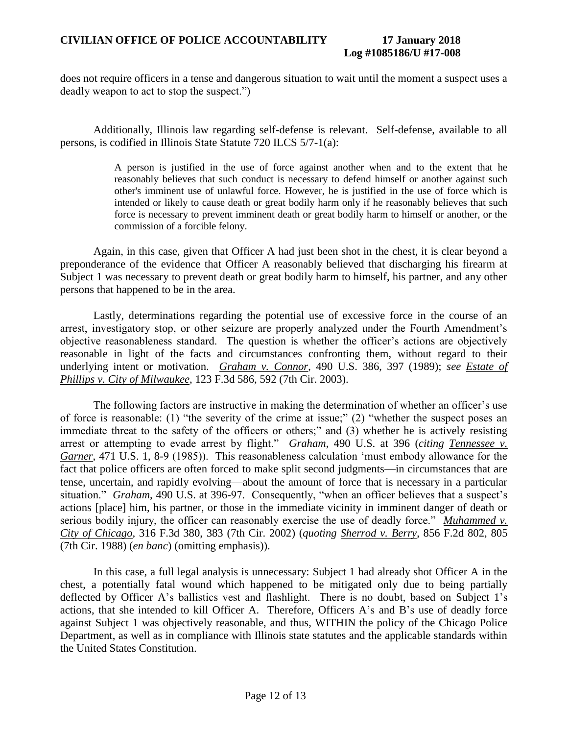does not require officers in a tense and dangerous situation to wait until the moment a suspect uses a deadly weapon to act to stop the suspect.")

Additionally, Illinois law regarding self-defense is relevant. Self-defense, available to all persons, is codified in Illinois State Statute 720 ILCS 5/7-1(a):

> A person is justified in the use of force against another when and to the extent that he reasonably believes that such conduct is necessary to defend himself or another against such other's imminent use of unlawful force. However, he is justified in the use of force which is intended or likely to cause death or great bodily harm only if he reasonably believes that such force is necessary to prevent imminent death or great bodily harm to himself or another, or the commission of a forcible felony.

Again, in this case, given that Officer A had just been shot in the chest, it is clear beyond a preponderance of the evidence that Officer A reasonably believed that discharging his firearm at Subject 1 was necessary to prevent death or great bodily harm to himself, his partner, and any other persons that happened to be in the area.

Lastly, determinations regarding the potential use of excessive force in the course of an arrest, investigatory stop, or other seizure are properly analyzed under the Fourth Amendment's objective reasonableness standard. The question is whether the officer's actions are objectively reasonable in light of the facts and circumstances confronting them, without regard to their underlying intent or motivation. *Graham v. Connor*, 490 U.S. 386, 397 (1989); *see Estate of Phillips v. City of Milwaukee*, 123 F.3d 586, 592 (7th Cir. 2003).

The following factors are instructive in making the determination of whether an officer's use of force is reasonable: (1) "the severity of the crime at issue;" (2) "whether the suspect poses an immediate threat to the safety of the officers or others;" and (3) whether he is actively resisting arrest or attempting to evade arrest by flight." *Graham*, 490 U.S. at 396 (*citing Tennessee v. Garner*, 471 U.S. 1, 8-9 (1985)). This reasonableness calculation 'must embody allowance for the fact that police officers are often forced to make split second judgments—in circumstances that are tense, uncertain, and rapidly evolving—about the amount of force that is necessary in a particular situation." *Graham*, 490 U.S. at 396-97. Consequently, "when an officer believes that a suspect's actions [place] him, his partner, or those in the immediate vicinity in imminent danger of death or serious bodily injury, the officer can reasonably exercise the use of deadly force." *Muhammed v. City of Chicago*, 316 F.3d 380, 383 (7th Cir. 2002) (*quoting Sherrod v. Berry*, 856 F.2d 802, 805 (7th Cir. 1988) (*en banc*) (omitting emphasis)).

In this case, a full legal analysis is unnecessary: Subject 1 had already shot Officer A in the chest, a potentially fatal wound which happened to be mitigated only due to being partially deflected by Officer A's ballistics vest and flashlight. There is no doubt, based on Subject 1's actions, that she intended to kill Officer A. Therefore, Officers A's and B's use of deadly force against Subject 1 was objectively reasonable, and thus, WITHIN the policy of the Chicago Police Department, as well as in compliance with Illinois state statutes and the applicable standards within the United States Constitution.